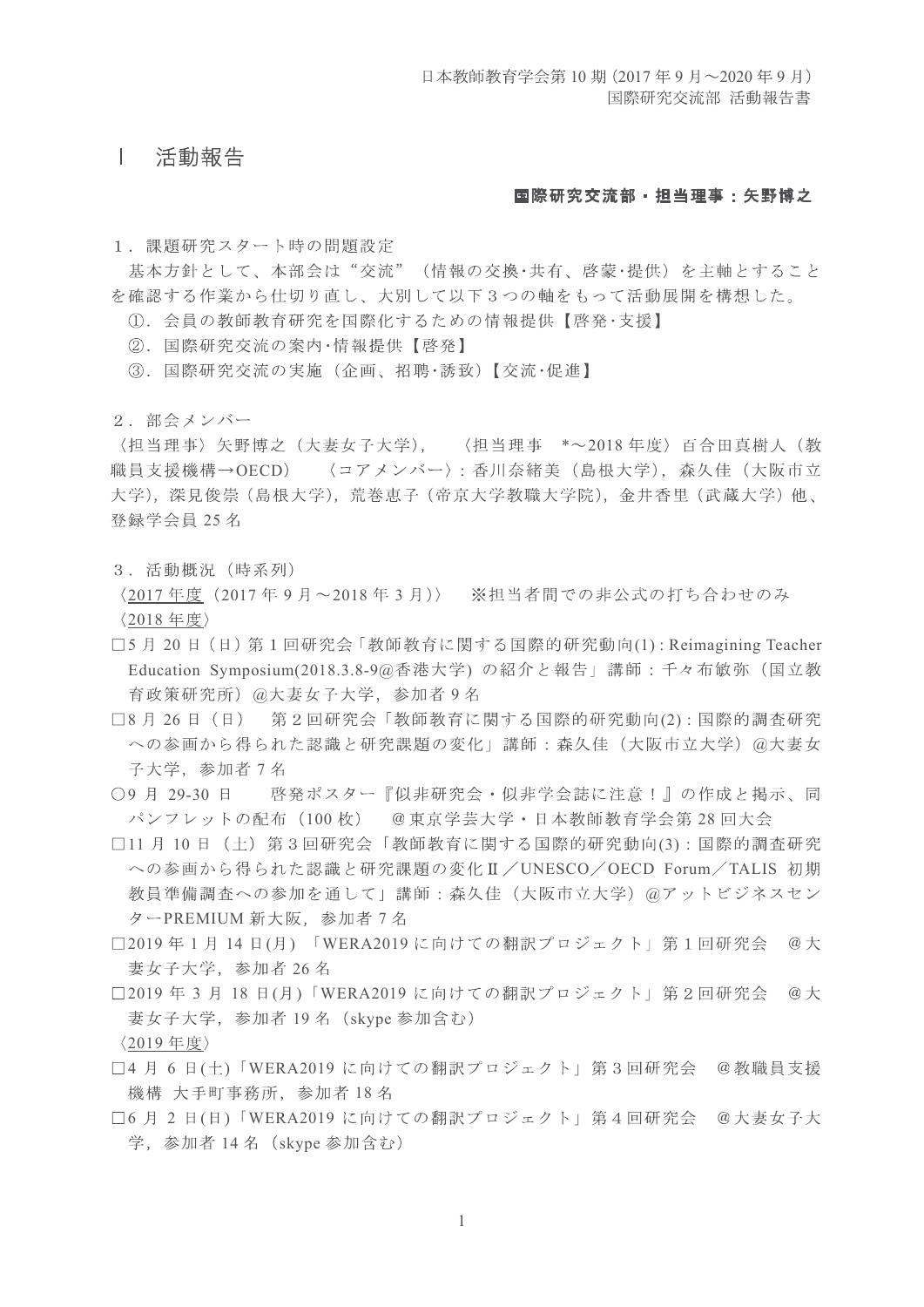## 活動報告  $\vert$

## 国際研究交流部 · 担当理事: 矢野博之

1. 課題研究スタート時の問題設定

基本方針として、本部会は"交流"(情報の交換·共有、啓蒙·提供)を主軸とすること を確認する作業から仕切り直し、大別して以下3つの軸をもって活動展開を構想した。

- 1. 会員の教師教育研究を国際化するための情報提供【啓発·支援】
- ②. 国際研究交流の案内・情報提供【啓発】
- ③. 国際研究交流の実施(企画、招聘·誘致)【交流·促進】
- 2. 部会メンバー

〈担当理事〉矢野博之(大妻女子大学), 〈担当理事 \*~2018年度〉百合田真樹人(教 職員支援機構→OECD) 〈コアメンバー〉: 香川奈緒美 (島根大学), 森久佳 (大阪市立 大学),深見俊崇 (島根大学), 荒巻恵子 (帝京大学教職大学院), 金井香里 (武蔵大学) 他、 登録学会員 25名

3. 活動概況 (時系列)

〈2017年度 (2017年9月~2018年3月)〉 ※担当者間での非公式の打ち合わせのみ 〈2018年度〉

- □5月20日 (日) 第1回研究会「教師教育に関する国際的研究動向(1): Reimagining Teacher Education Symposium(2018.3.8-9@香港大学) の紹介と報告」講師:千々布敏弥 (国立教 育政策研究所) @大妻女子大学, 参加者 9 名
- □8月26日 (日) 第2回研究会「教師教育に関する国際的研究動向(2):国際的調査研究 への参画から得られた認識と研究課題の変化」講師:森久佳(大阪市立大学) @大妻女 子大学,参加者 7名
- ○9月 29-30日 啓発ポスター『似非研究会・似非学会誌に注意!』の作成と掲示、同 パンフレットの配布(100枚) @東京学芸大学・日本教師教育学会第28回大会
- □11 月 10 日 (土) 第3回研究会「教師教育に関する国際的研究動向(3):国際的調査研究 への参画から得られた認識と研究課題の変化II / UNESCO / OECD Forum / TALIS 初期 教員準備調査への参加を通して」講師:森久佳(大阪市立大学) @アットビジネスセン ターPREMIUM 新大阪, 参加者 7名
- □2019年1月14日(月)「WERA2019に向けての翻訳プロジェクト」第1回研究会 @大 妻女子大学, 参加者 26名
- □2019年3月18日(月)「WERA2019に向けての翻訳プロジェクト」第2回研究会 @大 妻女子大学, 参加者 19名 (skype 参加含む) 〈2019年度〉
- □4 月 6 日(土)「WERA2019 に向けての翻訳プロジェクト」第3回研究会 @教職員支援 機構 大手町事務所, 参加者 18名
- □6月2日(日)「WERA2019に向けての翻訳プロジェクト」第4回研究会 @大妻女子大 学, 参加者 14名 (skype 参加含む)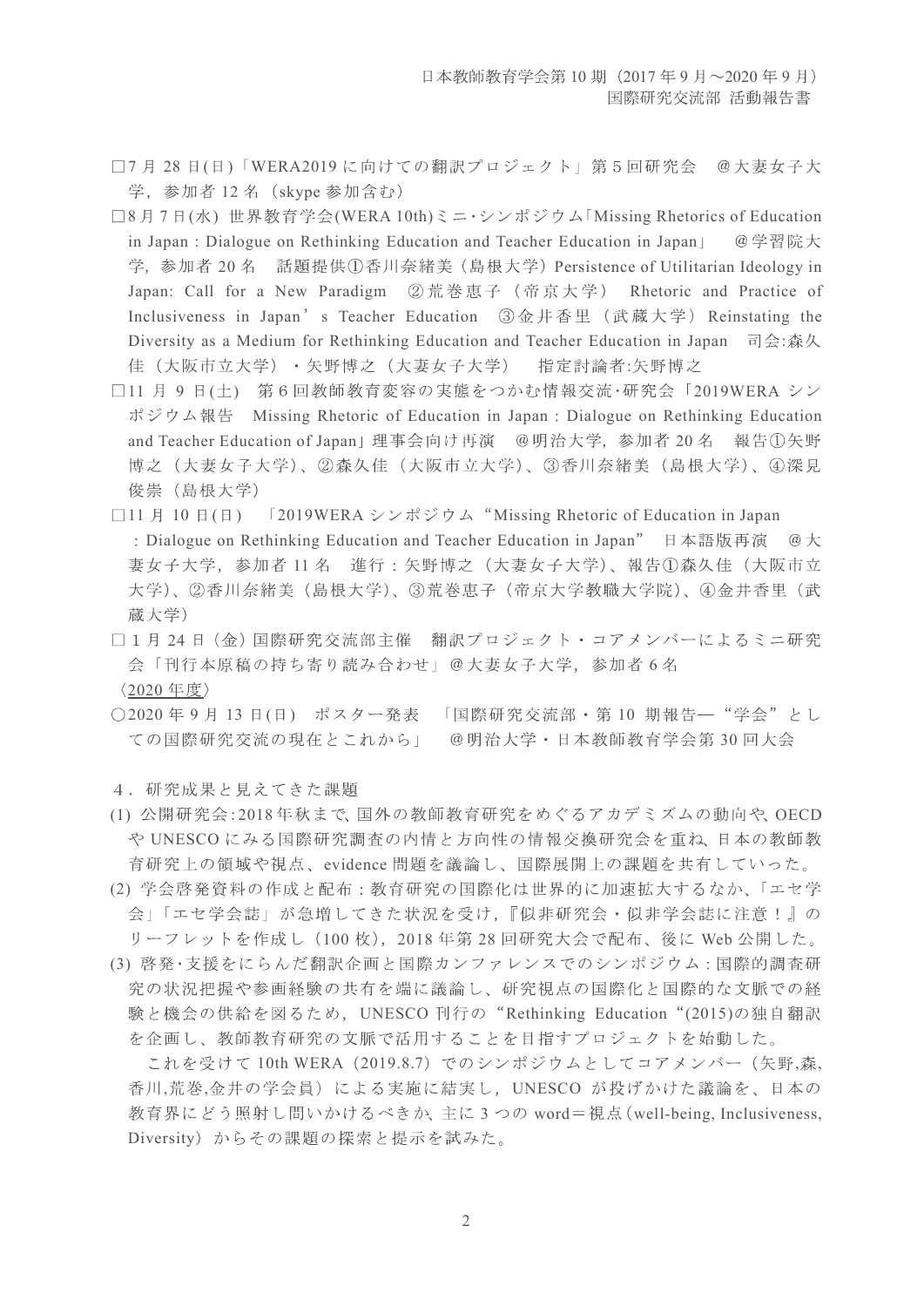- □7月28日(日)「WERA2019に向けての翻訳プロジェクト」第5回研究会 @大妻女子大 学, 参加者 12名 (skype 参加含む)
- □8月7日(水) 世界教育学会(WERA 10th)ミニ・シンポジウム「Missing Rhetorics of Education in Japan : Dialogue on Rethinking Education and Teacher Education in Japan」 @学習院大 学,参加者 20 名 話題提供①香川奈緒美 (島根大学) Persistence of Utilitarian Ideology in Japan: Call for a New Paradigm ②荒巻恵子 (帝京大学) Rhetoric and Practice of Inclusiveness in Japan's Teacher Education 3金井香里 (武蔵大学) Reinstating the Diversity as a Medium for Rethinking Education and Teacher Education in Japan  $\Box \oplus \triangle$ :森久 佳 (大阪市立大学) · 矢野博之 (大妻女子大学) 指定計論者:矢野博之
- □11 月 9 日(土) 第6回教師教育変容の実態をつかむ情報交流·研究会「2019WERA シン ポジウム報告 Missing Rhetoric of Education in Japan : Dialogue on Rethinking Education and Teacher Education of Japan」理事会向け再演 @明治大学, 参加者 20 名 報告①矢野 博之(大妻女子大学)、②森久佳(大阪市立大学)、③香川奈緒美(島根大学)、④深見 俊崇 (島根大学)
- □11 月 10 日(日) 「2019WERA シンポジウム "Missing Rhetoric of Education in Japan : Dialogue on Rethinking Education and Teacher Education in Japan" 日本語版再演 @大 妻女子大学,参加者11名 進行:矢野博之(大妻女子大学)、報告①森久佳(大阪市立 大学)、②香川奈緒美(島根大学)、③荒巻恵子(帝京大学教職大学院)、4金井香里(武 蔵大学)
- □1月24日 (金)国際研究交流部主催 翻訳プロジェクト・コアメンバーによるミニ研究 会「刊行本原稿の持ち寄り読み合わせ」@大妻女子大学, 参加者6名<br>〈2020年度〉
- ○2020年9月13日(日) ポスター発表 「国際研究交流部・第10期報告–"学会"とし ての国際研究交流の現在とこれから」 @明治大学・日本教師教育学会第30回大会
- 4. 研究成果と見えてきた課題
- (1) 公開研究会:2018年秋まで、国外の教師教育研究をめぐるアカデミズムの動向や、OECD や UNESCO にみる国際研究調査の内情と方向性の情報交換研究会を重ね、日本の教師教 育研究上の領域や視点、evidence 問題を議論し、国際展開上の課題を共有していった。
- (2) 学会啓発資料の作成と配布:教育研究の国際化は世界的に加速拡大するなか、「エセ学 会」「エセ学会誌」が急増してきた状況を受け、『似非研究会·似非学会誌に注意!』の リーフレットを作成し (100枚), 2018年第28回研究大会で配布、後に Web 公開した。
- (3) 啓発・支援をにらんだ翻訳企画と国際カンファレンスでのシンポジウム:国際的調査研 究の状況把握や参画経験の共有を端に議論し、研究視点の国際化と国際的な文脈での経 験と機会の供給を図るため, UNESCO 刊行の"Rethinking Education"(2015)の独自翻訳 を企画し、教師教育研究の文脈で活用することを目指すプロジェクトを始動した。

これを受けて 10th WERA (2019.8.7) でのシンポジウムとしてコアメンバー (矢野,森, 香川,荒巻,金井の学会員)による実施に結実し, UNESCO が投げかけた議論を、日本の 教育界にどう照射し問いかけるべきか、主に3つの word=視点(well-being, Inclusiveness, Diversity)からその課題の探索と提示を試みた。